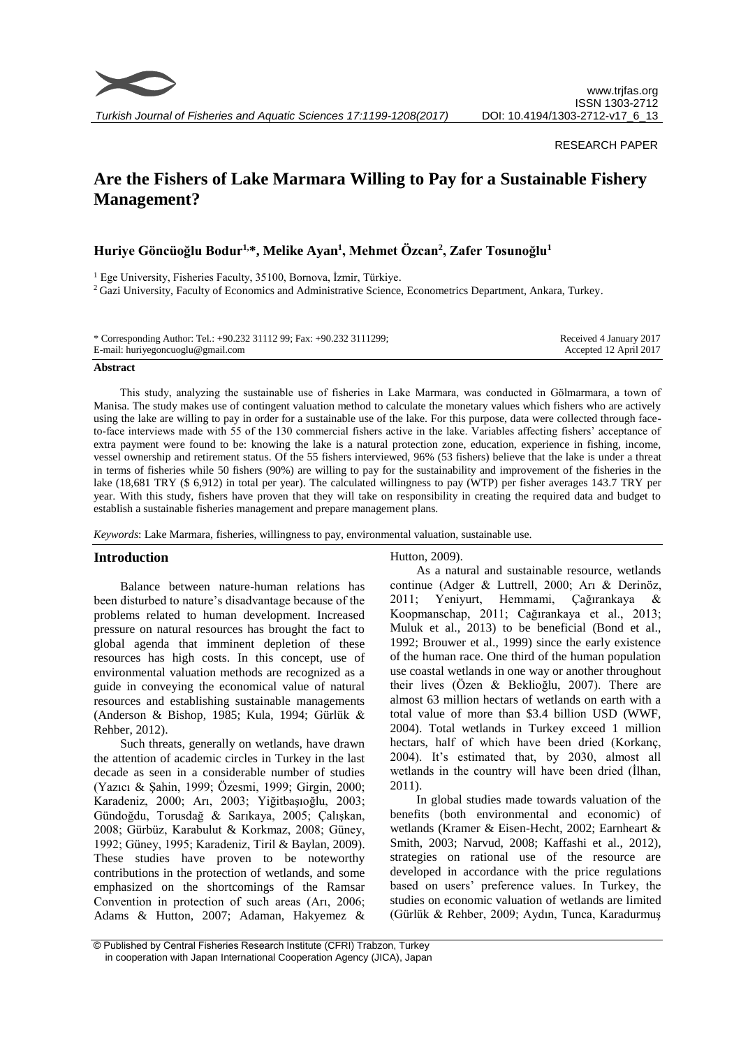

*Turkish Journal of Fisheries and Aquatic Sciences 17:1199-1208(2017)*

## RESEARCH PAPER

# **Are the Fishers of Lake Marmara Willing to Pay for a Sustainable Fishery Management?**

# **Huriye Göncüoğlu Bodur1,\*, Melike Ayan<sup>1</sup> , Mehmet Özcan<sup>2</sup> , Zafer Tosunoğlu<sup>1</sup>**

<sup>1</sup> Ege University, Fisheries Faculty, 35100, Bornova, İzmir, Türkiye.

<sup>2</sup> Gazi University, Faculty of Economics and Administrative Science, Econometrics Department, Ankara, Turkey.

| * Corresponding Author: Tel.: +90.232 31112 99; Fax: +90.232 3111299; | Received 4 January 2017 |
|-----------------------------------------------------------------------|-------------------------|
| E-mail: huriyegoncuoglu@gmail.com                                     | Accepted 12 April 2017  |

#### **Abstract**

This study, analyzing the sustainable use of fisheries in Lake Marmara, was conducted in Gölmarmara, a town of Manisa. The study makes use of contingent valuation method to calculate the monetary values which fishers who are actively using the lake are willing to pay in order for a sustainable use of the lake. For this purpose, data were collected through faceto-face interviews made with 55 of the 130 commercial fishers active in the lake. Variables affecting fishers' acceptance of extra payment were found to be: knowing the lake is a natural protection zone, education, experience in fishing, income, vessel ownership and retirement status. Of the 55 fishers interviewed, 96% (53 fishers) believe that the lake is under a threat in terms of fisheries while 50 fishers (90%) are willing to pay for the sustainability and improvement of the fisheries in the lake (18,681 TRY (\$ 6,912) in total per year). The calculated willingness to pay (WTP) per fisher averages 143.7 TRY per year. With this study, fishers have proven that they will take on responsibility in creating the required data and budget to establish a sustainable fisheries management and prepare management plans.

*Keywords*: Lake Marmara, fisheries, willingness to pay, environmental valuation, sustainable use.

## **Introduction**

Balance between nature-human relations has been disturbed to nature's disadvantage because of the problems related to human development. Increased pressure on natural resources has brought the fact to global agenda that imminent depletion of these resources has high costs. In this concept, use of environmental valuation methods are recognized as a guide in conveying the economical value of natural resources and establishing sustainable managements (Anderson & Bishop, 1985; Kula, 1994; Gürlük & Rehber, 2012).

Such threats, generally on wetlands, have drawn the attention of academic circles in Turkey in the last decade as seen in a considerable number of studies (Yazıcı & Şahin, 1999; Özesmi, 1999; Girgin, 2000; Karadeniz, 2000; Arı, 2003; Yiğitbaşıoğlu, 2003; Gündoğdu, Torusdağ & Sarıkaya, 2005; Çalışkan, 2008; Gürbüz, Karabulut & Korkmaz, 2008; Güney, 1992; Güney, 1995; Karadeniz, Tiril & Baylan, 2009). These studies have proven to be noteworthy contributions in the protection of wetlands, and some emphasized on the shortcomings of the Ramsar Convention in protection of such areas (Arı, 2006; Adams & Hutton, 2007; Adaman, Hakyemez & Hutton, 2009).

As a natural and sustainable resource, wetlands continue (Adger & Luttrell, 2000; Arı & Derinöz, 2011; Yeniyurt, Hemmami, Çağırankaya & Koopmanschap, 2011; Cağırankaya et al., 2013; Muluk et al., 2013) to be beneficial (Bond et al., 1992; Brouwer et al., 1999) since the early existence of the human race. One third of the human population use coastal wetlands in one way or another throughout their lives (Özen & Beklioğlu, 2007). There are almost 63 million hectars of wetlands on earth with a total value of more than \$3.4 billion USD (WWF, 2004). Total wetlands in Turkey exceed 1 million hectars, half of which have been dried (Korkanç, 2004). It's estimated that, by 2030, almost all wetlands in the country will have been dried (İlhan, 2011).

In global studies made towards valuation of the benefits (both environmental and economic) of wetlands (Kramer & Eisen-Hecht, 2002; Earnheart & Smith, 2003; Narvud, 2008; Kaffashi et al., 2012), strategies on rational use of the resource are developed in accordance with the price regulations based on users' preference values. In Turkey, the studies on economic valuation of wetlands are limited (Gürlük & Rehber, 2009; Aydın, Tunca, Karadurmuş

<sup>©</sup> Published by Central Fisheries Research Institute (CFRI) Trabzon, Turkey in cooperation with Japan International Cooperation Agency (JICA), Japan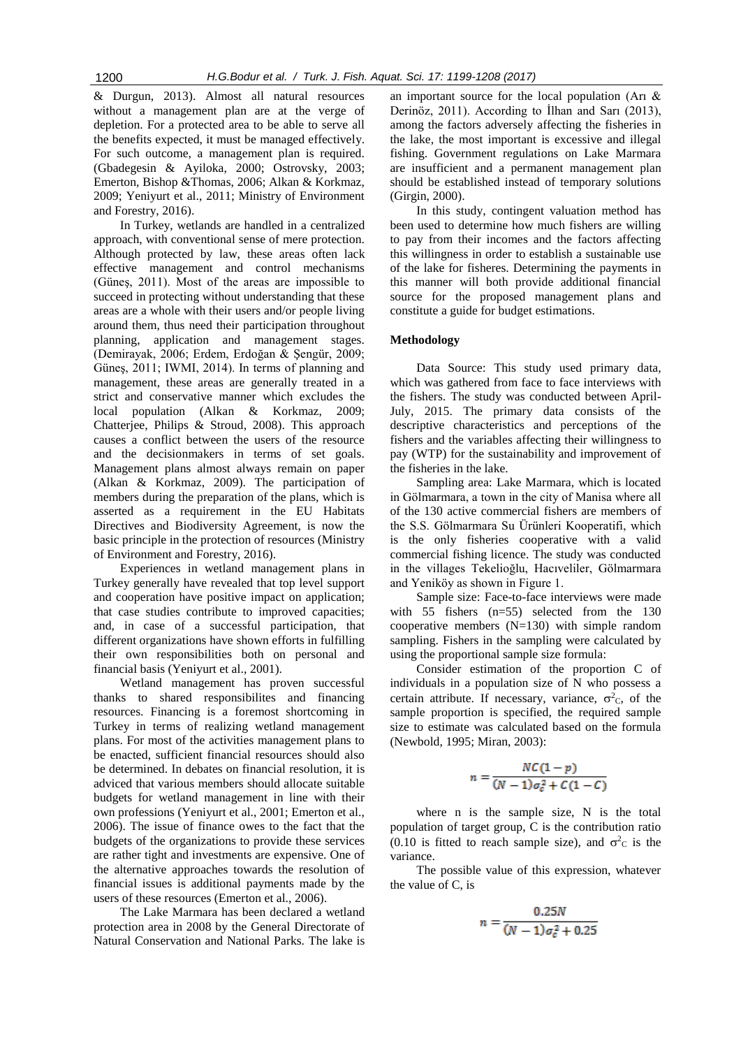& Durgun, 2013). Almost all natural resources without a management plan are at the verge of depletion. For a protected area to be able to serve all the benefits expected, it must be managed effectively. For such outcome, a management plan is required. (Gbadegesin & Ayiloka, 2000; Ostrovsky, 2003; Emerton, Bishop &Thomas, 2006; Alkan & Korkmaz, 2009; Yeniyurt et al., 2011; Ministry of Environment and Forestry, 2016).

In Turkey, wetlands are handled in a centralized approach, with conventional sense of mere protection. Although protected by law, these areas often lack effective management and control mechanisms (Güneş, 2011). Most of the areas are impossible to succeed in protecting without understanding that these areas are a whole with their users and/or people living around them, thus need their participation throughout planning, application and management stages. (Demirayak, 2006; Erdem, Erdoğan & Şengür, 2009; Güneş, 2011; IWMI, 2014). In terms of planning and management, these areas are generally treated in a strict and conservative manner which excludes the local population (Alkan & Korkmaz, 2009; Chatterjee, Philips & Stroud, 2008). This approach causes a conflict between the users of the resource and the decisionmakers in terms of set goals. Management plans almost always remain on paper (Alkan & Korkmaz, 2009). The participation of members during the preparation of the plans, which is asserted as a requirement in the EU Habitats Directives and Biodiversity Agreement, is now the basic principle in the protection of resources (Ministry of Environment and Forestry, 2016).

Experiences in wetland management plans in Turkey generally have revealed that top level support and cooperation have positive impact on application; that case studies contribute to improved capacities; and, in case of a successful participation, that different organizations have shown efforts in fulfilling their own responsibilities both on personal and financial basis (Yeniyurt et al., 2001).

Wetland management has proven successful thanks to shared responsibilites and financing resources. Financing is a foremost shortcoming in Turkey in terms of realizing wetland management plans. For most of the activities management plans to be enacted, sufficient financial resources should also be determined. In debates on financial resolution, it is adviced that various members should allocate suitable budgets for wetland management in line with their own professions (Yeniyurt et al., 2001; Emerton et al., 2006). The issue of finance owes to the fact that the budgets of the organizations to provide these services are rather tight and investments are expensive. One of the alternative approaches towards the resolution of financial issues is additional payments made by the users of these resources (Emerton et al., 2006).

The Lake Marmara has been declared a wetland protection area in 2008 by the General Directorate of Natural Conservation and National Parks. The lake is an important source for the local population (Arı & Derinöz, 2011). According to İlhan and Sarı (2013), among the factors adversely affecting the fisheries in the lake, the most important is excessive and illegal fishing. Government regulations on Lake Marmara are insufficient and a permanent management plan should be established instead of temporary solutions (Girgin, 2000).

In this study, contingent valuation method has been used to determine how much fishers are willing to pay from their incomes and the factors affecting this willingness in order to establish a sustainable use of the lake for fisheres. Determining the payments in this manner will both provide additional financial source for the proposed management plans and constitute a guide for budget estimations.

### **Methodology**

Data Source: This study used primary data, which was gathered from face to face interviews with the fishers. The study was conducted between April-July, 2015. The primary data consists of the descriptive characteristics and perceptions of the fishers and the variables affecting their willingness to pay (WTP) for the sustainability and improvement of the fisheries in the lake.

Sampling area: Lake Marmara, which is located in Gölmarmara, a town in the city of Manisa where all of the 130 active commercial fishers are members of the S.S. Gölmarmara Su Ürünleri Kooperatifi, which is the only fisheries cooperative with a valid commercial fishing licence. The study was conducted in the villages Tekelioğlu, Hacıveliler, Gölmarmara and Yeniköy as shown in Figure 1.

Sample size: Face-to-face interviews were made with 55 fishers (n=55) selected from the 130 cooperative members (N=130) with simple random sampling. Fishers in the sampling were calculated by using the proportional sample size formula:

Consider estimation of the proportion C of individuals in a population size of N who possess a certain attribute. If necessary, variance,  $\sigma^2 c$ , of the sample proportion is specified, the required sample size to estimate was calculated based on the formula (Newbold, 1995; Miran, 2003):

$$
n = \frac{NC(1-p)}{(N-1)\sigma_c^2 + C(1-C)}
$$

where n is the sample size, N is the total population of target group, C is the contribution ratio (0.10 is fitted to reach sample size), and  $\sigma^2$ c is the variance.

The possible value of this expression, whatever the value of C, is

$$
n = \frac{0.25N}{(N-1)\sigma_c^2 + 0.25}
$$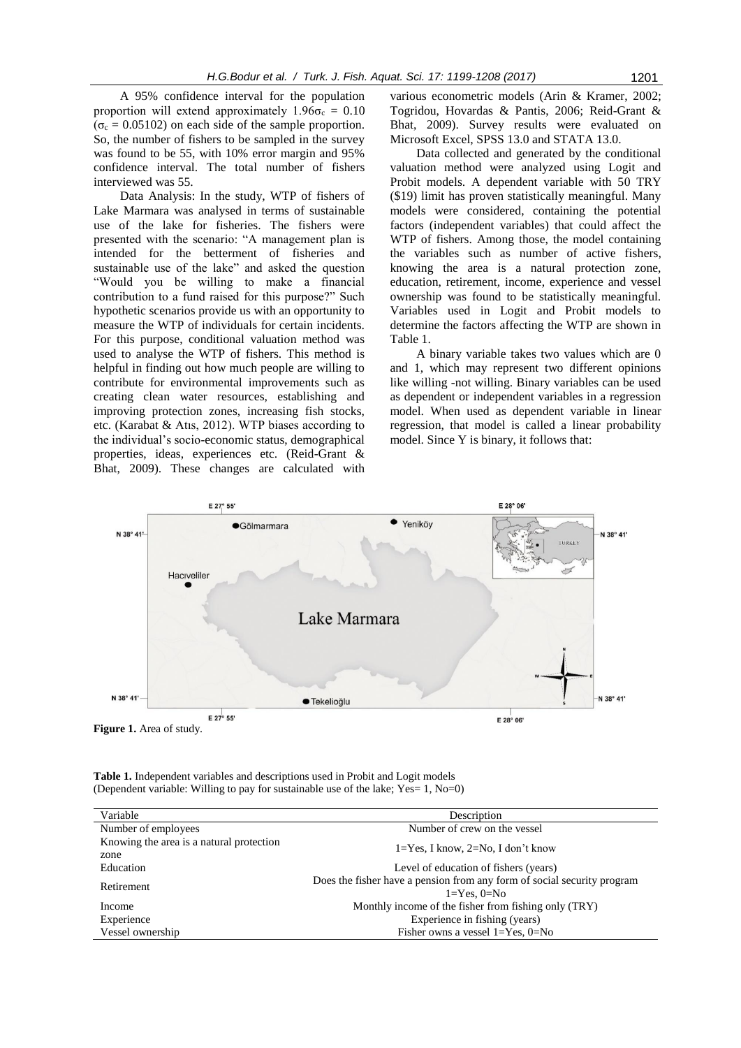A 95% confidence interval for the population proportion will extend approximately  $1.96\sigma_c = 0.10$  $(\sigma_c = 0.05102)$  on each side of the sample proportion. So, the number of fishers to be sampled in the survey was found to be 55, with 10% error margin and 95% confidence interval. The total number of fishers interviewed was 55.

Data Analysis: In the study, WTP of fishers of Lake Marmara was analysed in terms of sustainable use of the lake for fisheries. The fishers were presented with the scenario: "A management plan is intended for the betterment of fisheries and sustainable use of the lake" and asked the question "Would you be willing to make a financial contribution to a fund raised for this purpose?" Such hypothetic scenarios provide us with an opportunity to measure the WTP of individuals for certain incidents. For this purpose, conditional valuation method was used to analyse the WTP of fishers. This method is helpful in finding out how much people are willing to contribute for environmental improvements such as creating clean water resources, establishing and improving protection zones, increasing fish stocks, etc. (Karabat & Atıs, 2012). WTP biases according to the individual's socio-economic status, demographical properties, ideas, experiences etc. (Reid-Grant & Bhat, 2009). These changes are calculated with various econometric models (Arin & Kramer, 2002; Togridou, Hovardas & Pantis, 2006; Reid-Grant & Bhat, 2009). Survey results were evaluated on Microsoft Excel, SPSS 13.0 and STATA 13.0.

Data collected and generated by the conditional valuation method were analyzed using Logit and Probit models. A dependent variable with 50 TRY (\$19) limit has proven statistically meaningful. Many models were considered, containing the potential factors (independent variables) that could affect the WTP of fishers. Among those, the model containing the variables such as number of active fishers, knowing the area is a natural protection zone, education, retirement, income, experience and vessel ownership was found to be statistically meaningful. Variables used in Logit and Probit models to determine the factors affecting the WTP are shown in Table 1.

A binary variable takes two values which are 0 and 1, which may represent two different opinions like willing -not willing. Binary variables can be used as dependent or independent variables in a regression model. When used as dependent variable in linear regression, that model is called a linear probability model. Since Y is binary, it follows that:



**Table 1.** Independent variables and descriptions used in Probit and Logit models (Dependent variable: Willing to pay for sustainable use of the lake; Yes= 1, No=0)

| Variable                                 | Description                                                                                  |
|------------------------------------------|----------------------------------------------------------------------------------------------|
| Number of employees                      | Number of crew on the vessel                                                                 |
| Knowing the area is a natural protection | $1 = Yes$ , I know, $2 = No$ , I don't know                                                  |
| zone                                     |                                                                                              |
| Education                                | Level of education of fishers (years)                                                        |
| Retirement                               | Does the fisher have a pension from any form of social security program<br>$1 = Yes. 0 = No$ |
| Income                                   | Monthly income of the fisher from fishing only (TRY)                                         |
| Experience                               | Experience in fishing (years)                                                                |
| Vessel ownership                         | Fisher owns a vessel $1 = Yes$ , $0 = No$                                                    |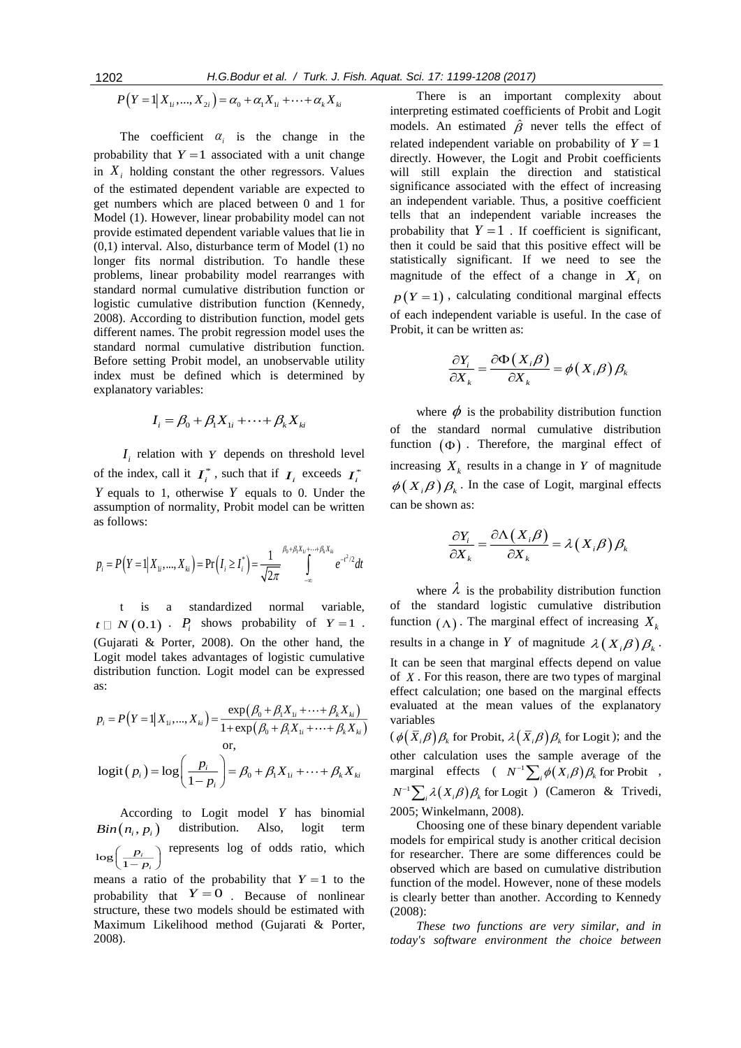$$
P(Y = 1 | X_{1i},..., X_{2i}) = \alpha_0 + \alpha_1 X_{1i} + \dots + \alpha_k X_{ki}
$$

The coefficient  $\alpha_i$  is the change in the probability that  $Y = 1$  associated with a unit change in  $X_i$  holding constant the other regressors. Values of the estimated dependent variable are expected to get numbers which are placed between 0 and 1 for Model (1). However, linear probability model can not provide estimated dependent variable values that lie in (0,1) interval. Also, disturbance term of Model (1) no longer fits normal distribution. To handle these problems, linear probability model rearranges with standard normal cumulative distribution function or logistic cumulative distribution function (Kennedy, 2008). According to distribution function, model gets different names. The probit regression model uses the standard normal cumulative distribution function. Before setting Probit model, an unobservable utility index must be defined which is determined by explanatory variables:

$$
I_i = \beta_0 + \beta_1 X_{1i} + \dots + \beta_k X_{ki}
$$

 $I_i$  relation with Y depends on threshold level of the index, call it  $I_i^*$ , such that if  $I_i$  exceeds  $I_i^*$ *Y* equals to 1, otherwise *Y* equals to 0. Under the assumption of normality, Probit model can be written as follows:

$$
p_i = P(Y = 1 | X_{1i},..., X_{ki}) = Pr(I_i \ge I_i^*) = \frac{1}{\sqrt{2\pi}} \int_{-\infty}^{\beta_0 + \beta_1 X_{1i} + \dots + \beta_k X_{ki}} e^{-t^2/2} dt
$$

t is a standardized normal variable,  $t \square N(0.1) \cdot P_i$  shows probability of  $Y=1$ . (Gujarati & Porter, 2008). On the other hand, the Logit model takes advantages of logistic cumulative distribution function. Logit model can be expressed as:

$$
p_i = P(Y = 1 | X_{1i},..., X_{ki}) = \frac{\exp(\beta_0 + \beta_1 X_{1i} + \dots + \beta_k X_{ki})}{1 + \exp(\beta_0 + \beta_1 X_{1i} + \dots + \beta_k X_{ki})}
$$
  
or,  

$$
\text{logit}(p_i) = \log\left(\frac{p_i}{1 - p_i}\right) = \beta_0 + \beta_1 X_{1i} + \dots + \beta_k X_{ki}
$$

According to Logit model *Y* has binomial  $Bin(n_i, p_i)$ distribution. Also, logit term  $log\left(\frac{P_i}{1-\right)}\right]$ *i p*  $\left(\frac{p_i}{1-p_i}\right)$ represents log of odds ratio, which

means a ratio of the probability that  $Y = 1$  to the probability that  $Y=0$ . Because of nonlinear structure, these two models should be estimated with Maximum Likelihood method (Gujarati & Porter, 2008).

There is an important complexity about interpreting estimated coefficients of Probit and Logit models. An estimated  $\hat{\beta}$  never tells the effect of related independent variable on probability of  $Y = 1$ directly. However, the Logit and Probit coefficients will still explain the direction and statistical significance associated with the effect of increasing an independent variable. Thus, a positive coefficient tells that an independent variable increases the probability that  $Y = 1$ . If coefficient is significant, then it could be said that this positive effect will be statistically significant. If we need to see the magnitude of the effect of a change in  $X_i$  on  $p(Y = 1)$ , calculating conditional marginal effects of each independent variable is useful. In the case of Probit, it can be written as:

$$
\frac{\partial Y_i}{\partial X_k} = \frac{\partial \Phi(X_i \beta)}{\partial X_k} = \phi(X_i \beta) \beta_k
$$

where  $\phi$  is the probability distribution function of the standard normal cumulative distribution function  $(\Phi)$ . Therefore, the marginal effect of increasing  $X_k$  results in a change in Y of magnitude  $\phi(X_i, \beta)$   $\beta_k$ . In the case of Logit, marginal effects can be shown as:

$$
\frac{\partial Y_i}{\partial X_k} = \frac{\partial \Lambda(X_i \beta)}{\partial X_k} = \lambda(X_i \beta) \beta_k
$$

where  $\lambda$  is the probability distribution function of the standard logistic cumulative distribution function  $(\Lambda)$ . The marginal effect of increasing  $X_k$ results in a change in Y of magnitude  $\lambda(X_i\beta)\beta_k$ . It can be seen that marginal effects depend on value of *X* . For this reason, there are two types of marginal effect calculation; one based on the marginal effects evaluated at the mean values of the explanatory variables

 $(\phi(\bar{X}_i)\beta)\beta_k$  for Probit,  $\lambda(\bar{X}_i)\beta\beta_k$  for Logit); and the other calculation uses the sample average of the marginal effects  $(N^{-1} \sum_i \phi(X_i \beta) \beta_k$  for Probit,  $N^{-1} \sum_i \lambda(X_i \beta) \beta_k$  for Logit *i* (Cameron & Trivedi, 2005; Winkelmann, 2008).

Choosing one of these binary dependent variable models for empirical study is another critical decision for researcher. There are some differences could be observed which are based on cumulative distribution function of the model. However, none of these models is clearly better than another. According to Kennedy (2008):

*These two functions are very similar, and in today's software environment the choice between*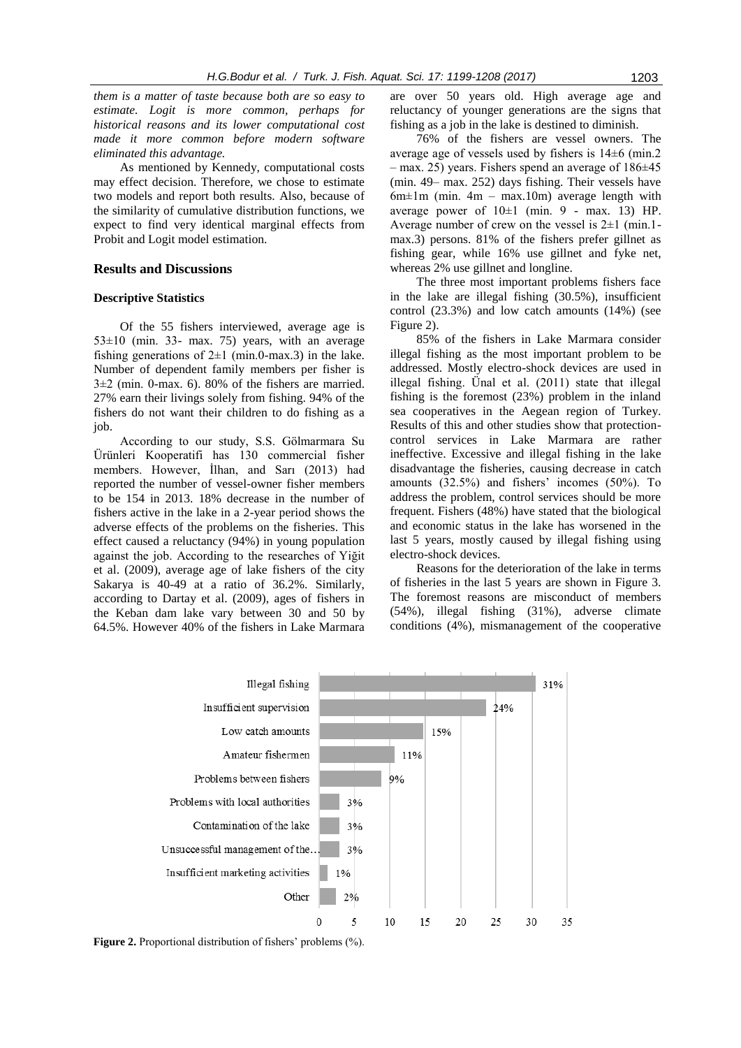*them is a matter of taste because both are so easy to estimate. Logit is more common, perhaps for historical reasons and its lower computational cost made it more common before modern software eliminated this advantage.*

As mentioned by Kennedy, computational costs may effect decision. Therefore, we chose to estimate two models and report both results. Also, because of the similarity of cumulative distribution functions, we expect to find very identical marginal effects from Probit and Logit model estimation.

## **Results and Discussions**

#### **Descriptive Statistics**

Of the 55 fishers interviewed, average age is  $53±10$  (min. 33- max. 75) years, with an average fishing generations of  $2\pm 1$  (min.0-max.3) in the lake. Number of dependent family members per fisher is  $3\pm2$  (min. 0-max. 6). 80% of the fishers are married. 27% earn their livings solely from fishing. 94% of the fishers do not want their children to do fishing as a job.

According to our study, S.S. Gölmarmara Su Ürünleri Kooperatifi has 130 commercial fisher members. However, İlhan, and Sarı (2013) had reported the number of vessel-owner fisher members to be 154 in 2013. 18% decrease in the number of fishers active in the lake in a 2-year period shows the adverse effects of the problems on the fisheries. This effect caused a reluctancy (94%) in young population against the job. According to the researches of Yiğit et al. (2009), average age of lake fishers of the city Sakarya is 40-49 at a ratio of 36.2%. Similarly, according to Dartay et al. (2009), ages of fishers in the Keban dam lake vary between 30 and 50 by 64.5%. However 40% of the fishers in Lake Marmara are over 50 years old. High average age and reluctancy of younger generations are the signs that fishing as a job in the lake is destined to diminish.

76% of the fishers are vessel owners. The average age of vessels used by fishers is 14±6 (min.2  $-$  max. 25) years. Fishers spend an average of  $186\pm45$ (min. 49– max. 252) days fishing. Their vessels have  $6m \pm 1m$  (min.  $4m - max.10m$ ) average length with average power of  $10 \pm 1$  (min. 9 - max. 13) HP. Average number of crew on the vessel is 2±1 (min.1 max.3) persons. 81% of the fishers prefer gillnet as fishing gear, while 16% use gillnet and fyke net, whereas 2% use gillnet and longline.

The three most important problems fishers face in the lake are illegal fishing (30.5%), insufficient control (23.3%) and low catch amounts (14%) (see Figure 2).

85% of the fishers in Lake Marmara consider illegal fishing as the most important problem to be addressed. Mostly electro-shock devices are used in illegal fishing. Ünal et al. (2011) state that illegal fishing is the foremost (23%) problem in the inland sea cooperatives in the Aegean region of Turkey. Results of this and other studies show that protectioncontrol services in Lake Marmara are rather ineffective. Excessive and illegal fishing in the lake disadvantage the fisheries, causing decrease in catch amounts (32.5%) and fishers' incomes (50%). To address the problem, control services should be more frequent. Fishers (48%) have stated that the biological and economic status in the lake has worsened in the last 5 years, mostly caused by illegal fishing using electro-shock devices.

Reasons for the deterioration of the lake in terms of fisheries in the last 5 years are shown in Figure 3. The foremost reasons are misconduct of members (54%), illegal fishing (31%), adverse climate conditions (4%), mismanagement of the cooperative



**Figure 2.** Proportional distribution of fishers' problems (%).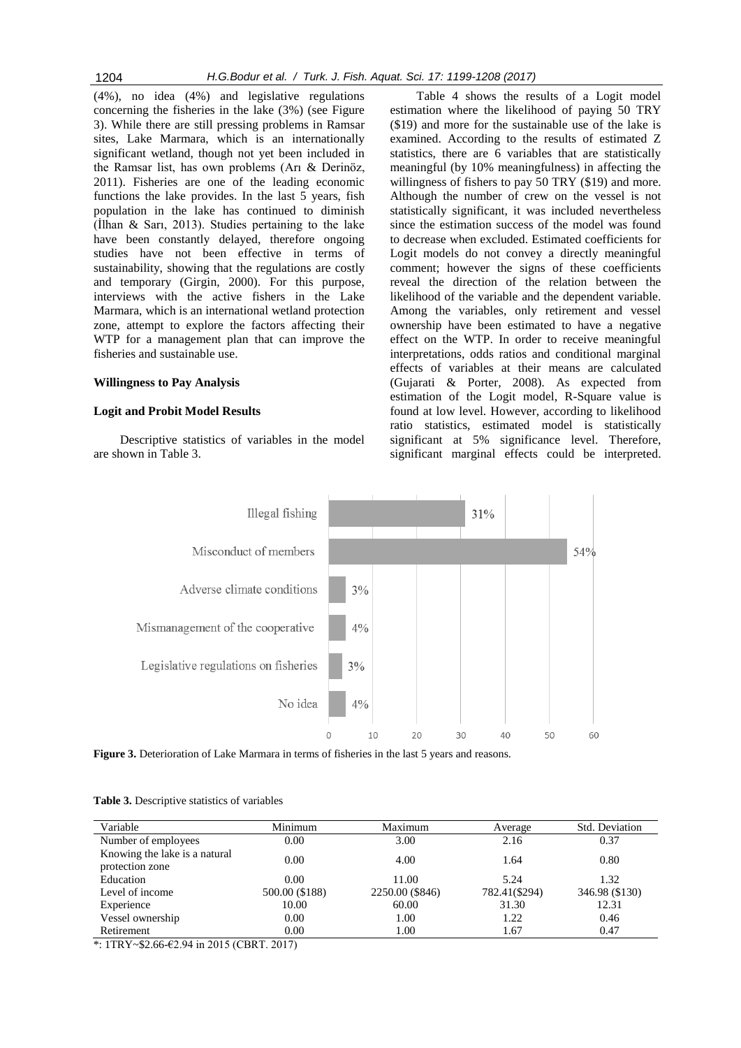(4%), no idea (4%) and legislative regulations concerning the fisheries in the lake (3%) (see Figure 3). While there are still pressing problems in Ramsar sites, Lake Marmara, which is an internationally significant wetland, though not yet been included in the Ramsar list, has own problems (Arı & Derinöz, 2011). Fisheries are one of the leading economic functions the lake provides. In the last 5 years, fish population in the lake has continued to diminish (İlhan & Sarı, 2013). Studies pertaining to the lake have been constantly delayed, therefore ongoing studies have not been effective in terms of sustainability, showing that the regulations are costly and temporary (Girgin, 2000). For this purpose, interviews with the active fishers in the Lake Marmara, which is an international wetland protection zone, attempt to explore the factors affecting their WTP for a management plan that can improve the fisheries and sustainable use.

### **Willingness to Pay Analysis**

#### **Logit and Probit Model Results**

Descriptive statistics of variables in the model are shown in Table 3.

Table 4 shows the results of a Logit model estimation where the likelihood of paying 50 TRY (\$19) and more for the sustainable use of the lake is examined. According to the results of estimated Z statistics, there are 6 variables that are statistically meaningful (by 10% meaningfulness) in affecting the willingness of fishers to pay 50 TRY (\$19) and more. Although the number of crew on the vessel is not statistically significant, it was included nevertheless since the estimation success of the model was found to decrease when excluded. Estimated coefficients for Logit models do not convey a directly meaningful comment; however the signs of these coefficients reveal the direction of the relation between the likelihood of the variable and the dependent variable. Among the variables, only retirement and vessel ownership have been estimated to have a negative effect on the WTP. In order to receive meaningful interpretations, odds ratios and conditional marginal effects of variables at their means are calculated (Gujarati & Porter, 2008). As expected from estimation of the Logit model, R-Square value is found at low level. However, according to likelihood ratio statistics, estimated model is statistically significant at 5% significance level. Therefore, significant marginal effects could be interpreted.



Figure 3. Deterioration of Lake Marmara in terms of fisheries in the last 5 years and reasons.

|  | <b>Table 3.</b> Descriptive statistics of variables |  |  |  |
|--|-----------------------------------------------------|--|--|--|
|--|-----------------------------------------------------|--|--|--|

| Variable                      | Minimum        | Maximum         | Average       | Std. Deviation |  |
|-------------------------------|----------------|-----------------|---------------|----------------|--|
| Number of employees           | 0.00           | 3.00            | 2.16          | 0.37           |  |
| Knowing the lake is a natural | 0.00           | 4.00            | 1.64          | 0.80           |  |
| protection zone               |                |                 |               |                |  |
| Education                     | 0.00           | 11.00           | 5.24          | 1.32           |  |
| Level of income               | 500.00 (\$188) | 2250.00 (\$846) | 782.41(\$294) | 346.98 (\$130) |  |
| Experience                    | 10.00          | 60.00           | 31.30         | 12.31          |  |
| Vessel ownership              | 0.00           | 1.00            | 1.22          | 0.46           |  |
| Retirement                    | 0.00           | 1.00            | 1.67          | 0.47           |  |

\*: 1TRY~\$2.66-€2.94 in 2015 (CBRT. 2017)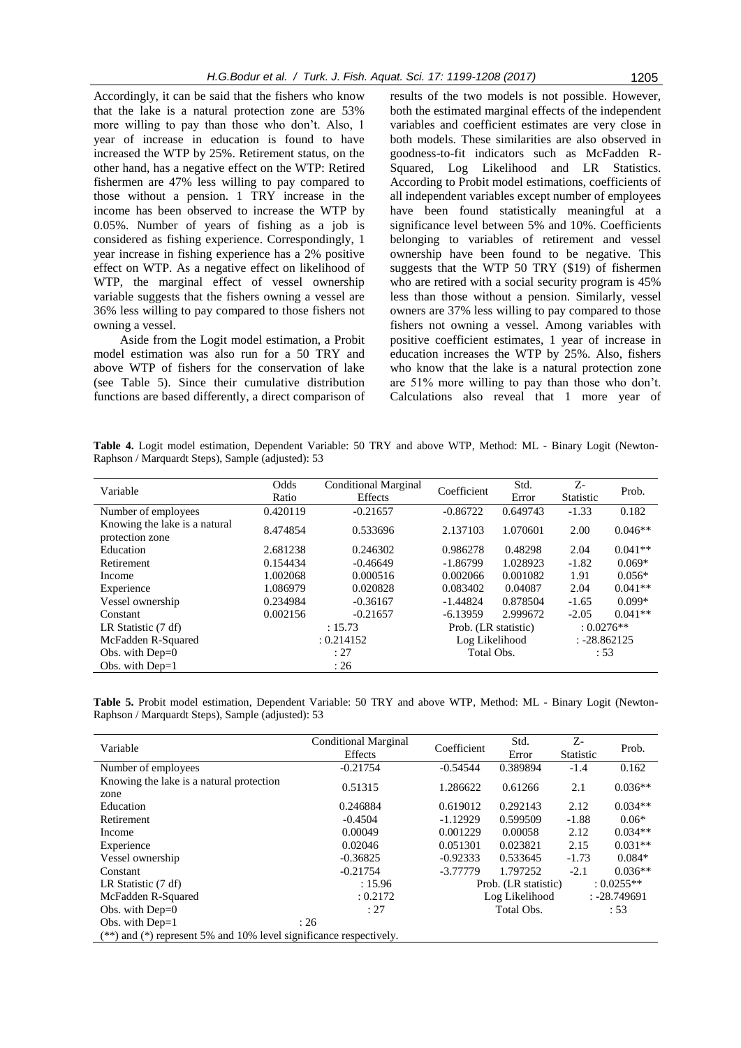Accordingly, it can be said that the fishers who know that the lake is a natural protection zone are 53% more willing to pay than those who don't. Also, 1 year of increase in education is found to have increased the WTP by 25%. Retirement status, on the other hand, has a negative effect on the WTP: Retired fishermen are 47% less willing to pay compared to those without a pension. 1 TRY increase in the income has been observed to increase the WTP by 0.05%. Number of years of fishing as a job is considered as fishing experience. Correspondingly, 1 year increase in fishing experience has a 2% positive effect on WTP. As a negative effect on likelihood of WTP, the marginal effect of vessel ownership variable suggests that the fishers owning a vessel are 36% less willing to pay compared to those fishers not owning a vessel.

Aside from the Logit model estimation, a Probit model estimation was also run for a 50 TRY and above WTP of fishers for the conservation of lake (see Table 5). Since their cumulative distribution functions are based differently, a direct comparison of

results of the two models is not possible. However, both the estimated marginal effects of the independent variables and coefficient estimates are very close in both models. These similarities are also observed in goodness-to-fit indicators such as McFadden R-Squared, Log Likelihood and LR Statistics. According to Probit model estimations, coefficients of all independent variables except number of employees have been found statistically meaningful at a significance level between 5% and 10%. Coefficients belonging to variables of retirement and vessel ownership have been found to be negative. This suggests that the WTP 50 TRY (\$19) of fishermen who are retired with a social security program is 45% less than those without a pension. Similarly, vessel owners are 37% less willing to pay compared to those fishers not owning a vessel. Among variables with positive coefficient estimates, 1 year of increase in education increases the WTP by 25%. Also, fishers who know that the lake is a natural protection zone are 51% more willing to pay than those who don't. Calculations also reveal that 1 more year of

**Table 4.** Logit model estimation, Dependent Variable: 50 TRY and above WTP, Method: ML - Binary Logit (Newton-Raphson / Marquardt Steps), Sample (adjusted): 53

| Variable                                         | Odds<br>Ratio | Conditional Marginal<br>Effects | Coefficient          | Std.<br>Error | $Z-$<br>Statistic | Prob.     |
|--------------------------------------------------|---------------|---------------------------------|----------------------|---------------|-------------------|-----------|
| Number of employees                              | 0.420119      | $-0.21657$                      | $-0.86722$           | 0.649743      | $-1.33$           | 0.182     |
| Knowing the lake is a natural<br>protection zone | 8.474854      | 0.533696                        | 2.137103             | 1.070601      | 2.00              | $0.046**$ |
| Education                                        | 2.681238      | 0.246302                        | 0.986278             | 0.48298       | 2.04              | $0.041**$ |
| <b>Retirement</b>                                | 0.154434      | $-0.46649$                      | $-1.86799$           | 1.028923      | $-1.82$           | $0.069*$  |
| Income                                           | 1.002068      | 0.000516                        | 0.002066             | 0.001082      | 1.91              | $0.056*$  |
| Experience                                       | 1.086979      | 0.020828                        | 0.083402             | 0.04087       | 2.04              | $0.041**$ |
| Vessel ownership                                 | 0.234984      | $-0.36167$                      | $-1.44824$           | 0.878504      | $-1.65$           | $0.099*$  |
| Constant                                         | 0.002156      | $-0.21657$                      | $-6.13959$           | 2.999672      | $-2.05$           | $0.041**$ |
| LR Statistic (7 df)                              | : 15.73       |                                 | Prob. (LR statistic) |               | $: 0.0276**$      |           |
| McFadden R-Squared                               | : 0.214152    |                                 | Log Likelihood       |               | $: -28.862125$    |           |
| Obs. with $Dep=0$                                | : 27          |                                 | Total Obs.           |               | :53               |           |
| Obs. with $Dep=1$                                | :26           |                                 |                      |               |                   |           |

**Table 5.** Probit model estimation, Dependent Variable: 50 TRY and above WTP, Method: ML - Binary Logit (Newton-Raphson / Marquardt Steps), Sample (adjusted): 53

| Variable                                                               | <b>Conditional Marginal</b> | Coefficient | Std.                 | $Z$ -            | Prob.          |  |
|------------------------------------------------------------------------|-----------------------------|-------------|----------------------|------------------|----------------|--|
|                                                                        | Effects                     |             | Error                | <b>Statistic</b> |                |  |
| Number of employees                                                    | $-0.21754$                  | $-0.54544$  | 0.389894             | $-1.4$           | 0.162          |  |
| Knowing the lake is a natural protection                               | 0.51315                     | 1.286622    | 0.61266              | 2.1              | $0.036**$      |  |
| zone                                                                   |                             |             |                      |                  |                |  |
| Education                                                              | 0.246884                    | 0.619012    | 0.292143             | 2.12             | $0.034**$      |  |
| Retirement                                                             | $-0.4504$                   | $-1.12929$  | 0.599509             | $-1.88$          | $0.06*$        |  |
| Income                                                                 | 0.00049                     | 0.001229    | 0.00058              | 2.12             | $0.034**$      |  |
| Experience                                                             | 0.02046                     | 0.051301    | 0.023821             | 2.15             | $0.031**$      |  |
| Vessel ownership                                                       | $-0.36825$                  | $-0.92333$  | 0.533645             | $-1.73$          | $0.084*$       |  |
| Constant                                                               | $-0.21754$                  | $-3.77779$  | 1.797252             | $-2.1$           | $0.036**$      |  |
| LR Statistic (7 df)                                                    | : 15.96                     |             | Prob. (LR statistic) |                  | $: 0.0255**$   |  |
| McFadden R-Squared                                                     | : 0.2172                    |             | Log Likelihood       |                  | $: -28.749691$ |  |
| Obs. with $Dep=0$                                                      | :27                         |             | Total Obs.           |                  | : 53           |  |
| Obs. with $Dep=1$                                                      | :26                         |             |                      |                  |                |  |
| $(**)$ and $(*)$ represent 5% and 10% level significance respectively. |                             |             |                      |                  |                |  |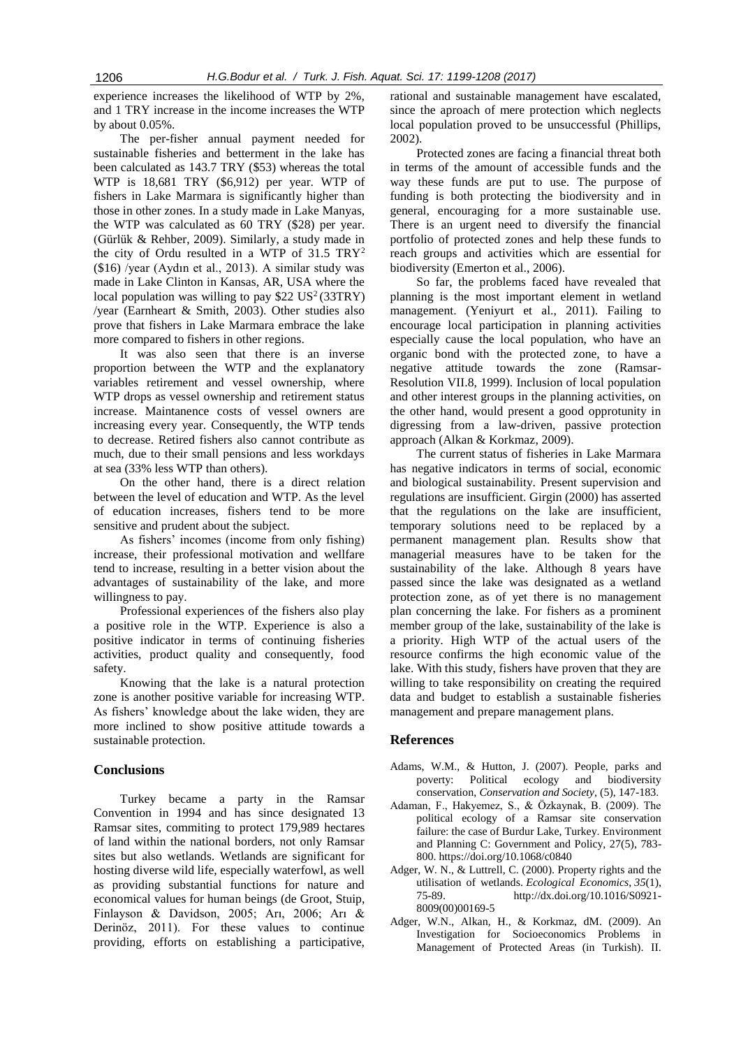experience increases the likelihood of WTP by 2%, and 1 TRY increase in the income increases the WTP by about 0.05%.

The per-fisher annual payment needed for sustainable fisheries and betterment in the lake has been calculated as 143.7 TRY (\$53) whereas the total WTP is 18,681 TRY (\$6,912) per year. WTP of fishers in Lake Marmara is significantly higher than those in other zones. In a study made in Lake Manyas, the WTP was calculated as 60 TRY (\$28) per year. (Gürlük & Rehber, 2009). Similarly, a study made in the city of Ordu resulted in a WTP of  $31.5 \text{ TRY}^2$ (\$16) /year (Aydın et al., 2013). A similar study was made in Lake Clinton in Kansas, AR, USA where the local population was willing to pay  $$22$  US<sup>2</sup>(33TRY) /year (Earnheart & Smith, 2003). Other studies also prove that fishers in Lake Marmara embrace the lake more compared to fishers in other regions.

It was also seen that there is an inverse proportion between the WTP and the explanatory variables retirement and vessel ownership, where WTP drops as vessel ownership and retirement status increase. Maintanence costs of vessel owners are increasing every year. Consequently, the WTP tends to decrease. Retired fishers also cannot contribute as much, due to their small pensions and less workdays at sea (33% less WTP than others).

On the other hand, there is a direct relation between the level of education and WTP. As the level of education increases, fishers tend to be more sensitive and prudent about the subject.

As fishers' incomes (income from only fishing) increase, their professional motivation and wellfare tend to increase, resulting in a better vision about the advantages of sustainability of the lake, and more willingness to pay.

Professional experiences of the fishers also play a positive role in the WTP. Experience is also a positive indicator in terms of continuing fisheries activities, product quality and consequently, food safety.

Knowing that the lake is a natural protection zone is another positive variable for increasing WTP. As fishers' knowledge about the lake widen, they are more inclined to show positive attitude towards a sustainable protection.

## **Conclusions**

Turkey became a party in the Ramsar Convention in 1994 and has since designated 13 Ramsar sites, commiting to protect 179,989 hectares of land within the national borders, not only Ramsar sites but also wetlands. Wetlands are significant for hosting diverse wild life, especially waterfowl, as well as providing substantial functions for nature and economical values for human beings (de Groot, Stuip, Finlayson & Davidson, 2005; Arı, 2006; Arı & Derinöz, 2011). For these values to continue providing, efforts on establishing a participative, rational and sustainable management have escalated, since the aproach of mere protection which neglects local population proved to be unsuccessful (Phillips, 2002).

Protected zones are facing a financial threat both in terms of the amount of accessible funds and the way these funds are put to use. The purpose of funding is both protecting the biodiversity and in general, encouraging for a more sustainable use. There is an urgent need to diversify the financial portfolio of protected zones and help these funds to reach groups and activities which are essential for biodiversity (Emerton et al., 2006).

So far, the problems faced have revealed that planning is the most important element in wetland management. (Yeniyurt et al., 2011). Failing to encourage local participation in planning activities especially cause the local population, who have an organic bond with the protected zone, to have a negative attitude towards the zone (Ramsar-Resolution VII.8, 1999). Inclusion of local population and other interest groups in the planning activities, on the other hand, would present a good opprotunity in digressing from a law-driven, passive protection approach (Alkan & Korkmaz, 2009).

The current status of fisheries in Lake Marmara has negative indicators in terms of social, economic and biological sustainability. Present supervision and regulations are insufficient. Girgin (2000) has asserted that the regulations on the lake are insufficient, temporary solutions need to be replaced by a permanent management plan. Results show that managerial measures have to be taken for the sustainability of the lake. Although 8 years have passed since the lake was designated as a wetland protection zone, as of yet there is no management plan concerning the lake. For fishers as a prominent member group of the lake, sustainability of the lake is a priority. High WTP of the actual users of the resource confirms the high economic value of the lake. With this study, fishers have proven that they are willing to take responsibility on creating the required data and budget to establish a sustainable fisheries management and prepare management plans.

## **References**

- Adams, W.M., & Hutton, J. (2007). People, parks and poverty: Political ecology and biodiversity conservation, *Conservation and Society*, (5), 147-183.
- Adaman, F., Hakyemez, S., & Özkaynak, B. (2009). The political ecology of a Ramsar site conservation failure: the case of Burdur Lake, Turkey. Environment and Planning C: Government and Policy, 27(5), 783- 800. https://doi.org/10.1068/c0840
- Adger, W. N., & Luttrell, C. (2000). Property rights and the utilisation of wetlands. *Ecological Economics*, *35*(1), 75-89. http://dx.doi.org/10.1016/S0921- 8009(00)00169-5
- Adger, W.N., Alkan, H., & Korkmaz, dM. (2009). An Investigation for Socioeconomics Problems in Management of Protected Areas (in Turkish). II.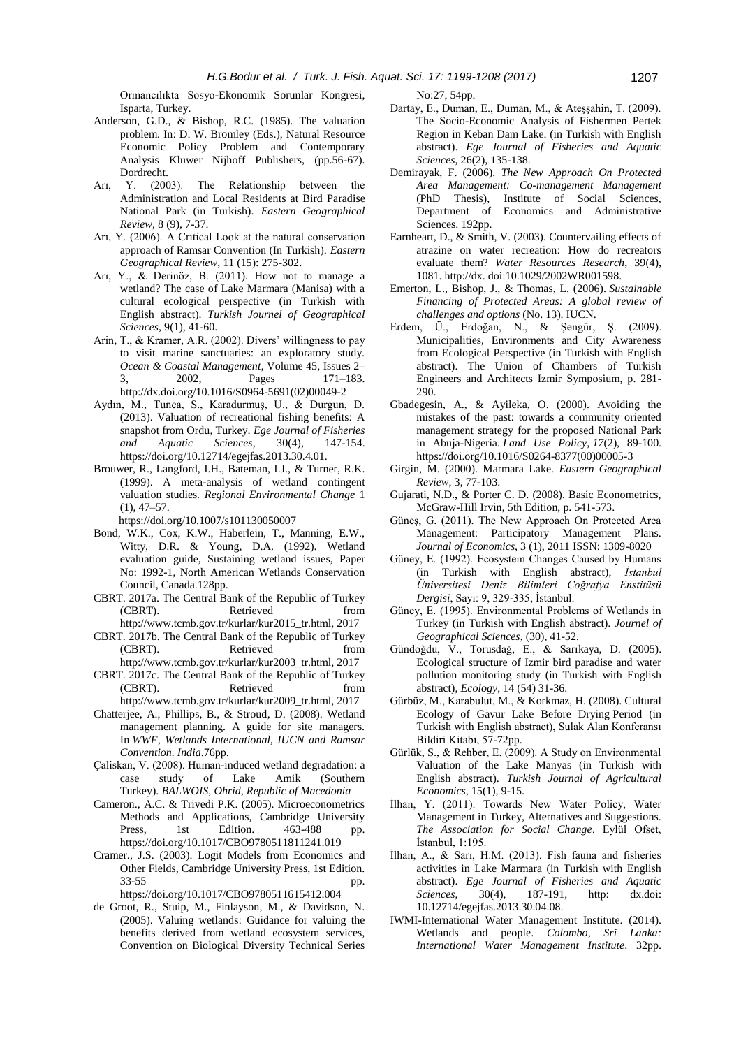Ormancılıkta Sosyo-Ekonomik Sorunlar Kongresi, Isparta, Turkey.

- Anderson, G.D., & Bishop, R.C. (1985). The valuation problem. In: D. W. Bromley (Eds.), Natural Resource Economic Policy Problem and Contemporary Analysis Kluwer Nijhoff Publishers, (pp.56-67). Dordrecht.
- Arı, Y. (2003). The Relationship between the Administration and Local Residents at Bird Paradise National Park (in Turkish). *Eastern Geographical Review*, 8 (9), 7-37.
- Arı, Y. (2006). A Critical Look at the natural conservation approach of Ramsar Convention (In Turkish). *Eastern Geographical Review*, 11 (15): 275-302.
- Arı, Y., & Derinöz, B. (2011). How not to manage a wetland? The case of Lake Marmara (Manisa) with a cultural ecological perspective (in Turkish with English abstract). *Turkish Journel of Geographical Sciences*, 9(1), 41-60.
- Arin, T., & Kramer, A.R. (2002). Divers' willingness to pay to visit marine sanctuaries: an exploratory study. *Ocean & Coastal Management*, Volume 45, Issues 2– 3, 2002, Pages 171–183. http://dx.doi.org/10.1016/S0964-5691(02)00049-2
- Aydın, M., Tunca, S., Karadurmuş, U., & Durgun, D. (2013). Valuation of recreational fishing benefits: A snapshot from Ordu, Turkey. *Ege Journal of Fisheries and Aquatic Sciences*, 30(4), 147-154. https://doi.org/10.12714/egejfas.2013.30.4.01.
- Brouwer, R., Langford, I.H., Bateman, I.J., & Turner, R.K. (1999). A meta-analysis of wetland contingent valuation studies*. Regional Environmental Change* 1 (1), 47–57.

https://doi.org/10.1007/s101130050007

- Bond, W.K., Cox, K.W., Haberlein, T., Manning, E.W., Witty, D.R. & Young, D.A. (1992). Wetland evaluation guide, Sustaining wetland issues, Paper No: 1992-1, North American Wetlands Conservation Council, Canada.128pp.
- CBRT. 2017a. The Central Bank of the Republic of Turkey (CBRT). Retrieved from http://www.tcmb.gov.tr/kurlar/kur2015\_tr.html, 2017
- CBRT. 2017b. The Central Bank of the Republic of Turkey (CBRT). Retrieved from http://www.tcmb.gov.tr/kurlar/kur2003\_tr.html, 2017
- CBRT. 2017c. The Central Bank of the Republic of Turkey (CBRT). Retrieved from
- http://www.tcmb.gov.tr/kurlar/kur2009\_tr.html, 2017 Chatterjee, A., Phillips, B., & Stroud, D. (2008). Wetland
- management planning. A guide for site managers. In *WWF, Wetlands International, IUCN and Ramsar Convention. India*.76pp.
- Çaliskan, V. (2008). Human-induced wetland degradation: a case study of Lake Amik (Southern Turkey). *BALWOIS, Ohrid, Republic of Macedonia*
- Cameron., A.C. & Trivedi P.K. (2005). Microeconometrics Methods and Applications, Cambridge University Press, 1st Edition. 463-488 pp. https://doi.org/10.1017/CBO9780511811241.019
- Cramer., J.S. (2003). Logit Models from Economics and Other Fields, Cambridge University Press, 1st Edition. 33-55 pp. https://doi.org/10.1017/CBO9780511615412.004
- de Groot, R., Stuip, M., Finlayson, M., & Davidson, N. (2005). Valuing wetlands: Guidance for valuing the benefits derived from wetland ecosystem services, Convention on Biological Diversity Technical Series

No:27, 54pp.

- Dartay, E., Duman, E., Duman, M., & Ateşşahin, T. (2009). The Socio-Economic Analysis of Fishermen Pertek Region in Keban Dam Lake. (in Turkish with English abstract). *Ege Journal of Fisheries and Aquatic Sciences*, 26(2), 135-138.
- Demirayak, F. (2006). *The New Approach On Protected Area Management: Co-management Management*  (PhD Thesis), Institute of Social Sciences, Department of Economics and Administrative Sciences. 192pp.
- Earnheart, D., & Smith, V. (2003). Countervailing effects of atrazine on water recreation: How do recreators evaluate them? *Water Resources Research*, 39(4), 1081. http://dx. doi:10.1029/2002WR001598.
- Emerton, L., Bishop, J., & Thomas, L. (2006). *Sustainable Financing of Protected Areas: A global review of challenges and options* (No. 13). IUCN.
- Erdem, Ü., Erdoğan, N., & Şengür, Ş. (2009). Municipalities, Environments and City Awareness from Ecological Perspective (in Turkish with English abstract). The Union of Chambers of Turkish Engineers and Architects Izmir Symposium, p. 281- 290.
- Gbadegesin, A., & Ayileka, O. (2000). Avoiding the mistakes of the past: towards a community oriented management strategy for the proposed National Park in Abuja-Nigeria. *Land Use Policy*, *17*(2), 89-100. https://doi.org/10.1016/S0264-8377(00)00005-3
- Girgin, M. (2000). Marmara Lake. *Eastern Geographical Review*, 3, 77-103.
- Gujarati, N.D., & Porter C. D. (2008). Basic Econometrics, McGraw-Hill Irvin, 5th Edition, p. 541-573.
- Güneş, G. (2011). The New Approach On Protected Area Management: Participatory Management Plans. *Journal of Economics,* 3 (1), 2011 ISSN: 1309-8020
- Güney, E. (1992). Ecosystem Changes Caused by Humans (in Turkish with English abstract), *İstanbul Üniversitesi Deniz Bilimleri Coğrafya Enstitüsü Dergisi*, Sayı: 9, 329-335, İstanbul.
- Güney, E. (1995). Environmental Problems of Wetlands in Turkey (in Turkish with English abstract). *Journel of Geographical Sciences*, (30), 41-52.
- Gündoğdu, V., Torusdağ, E., & Sarıkaya, D. (2005). Ecological structure of Izmir bird paradise and water pollution monitoring study (in Turkish with English abstract), *Ecology*, 14 (54) 31-36.
- Gürbüz, M., Karabulut, M., & Korkmaz, H. (2008). Cultural Ecology of Gavur Lake Before Drying Period (in Turkish with English abstract), Sulak Alan Konferansı Bildiri Kitabı, 57-72pp.
- Gürlük, S., & Rehber, E. (2009). A Study on Environmental Valuation of the Lake Manyas (in Turkish with English abstract). *Turkish Journal of Agricultural Economics*, 15(1), 9-15.
- İlhan, Y. (2011). Towards New Water Policy, Water Management in Turkey, Alternatives and Suggestions. *The Association for Social Change*. Eylül Ofset, İstanbul, 1:195.
- İlhan, A., & Sarı, H.M. (2013). Fish fauna and fisheries activities in Lake Marmara (in Turkish with English abstract). *Ege Journal of Fisheries and Aquatic Sciences*, 30(4), 187-191, http: dx.doi: 10.12714/egejfas.2013.30.04.08.
- IWMI-International Water Management Institute. (2014). Wetlands and people. *Colombo, Sri Lanka: International Water Management Institute*. 32pp.